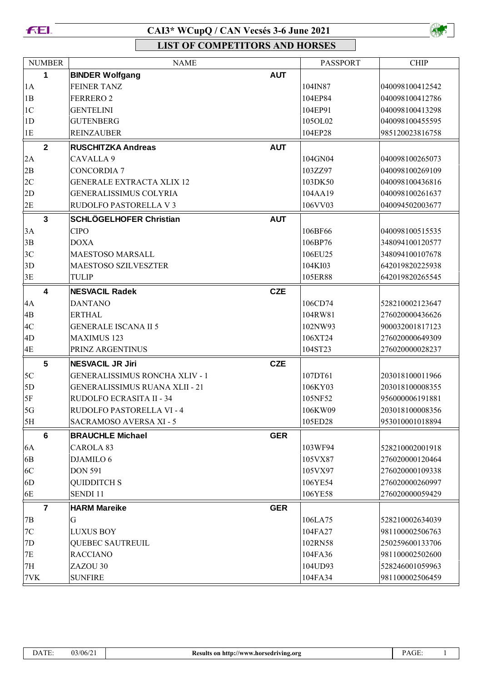



| <b>NUMBER</b>           | <b>NAME</b>                           |            | <b>PASSPORT</b> | <b>CHIP</b>     |
|-------------------------|---------------------------------------|------------|-----------------|-----------------|
| 1                       | <b>BINDER Wolfgang</b>                | <b>AUT</b> |                 |                 |
| 1A                      | <b>FEINER TANZ</b>                    |            | 104IN87         | 040098100412542 |
| 1B                      | <b>FERRERO 2</b>                      |            | 104EP84         | 040098100412786 |
| 1 <sup>C</sup>          | <b>GENTELINI</b>                      |            | 104EP91         | 040098100413298 |
| 1D                      | <b>GUTENBERG</b>                      |            | 105OL02         | 040098100455595 |
| 1E                      | <b>REINZAUBER</b>                     |            | 104EP28         | 985120023816758 |
| $\overline{2}$          | <b>RUSCHITZKA Andreas</b>             | <b>AUT</b> |                 |                 |
| 2A                      | CAVALLA 9                             |            | 104GN04         | 040098100265073 |
| 2B                      | <b>CONCORDIA 7</b>                    |            | 103ZZ97         | 040098100269109 |
| 2C                      | <b>GENERALE EXTRACTA XLIX 12</b>      |            | 103DK50         | 040098100436816 |
| 2D                      | GENERALISSIMUS COLYRIA                |            | 104AA19         | 040098100261637 |
| 2E                      | RUDOLFO PASTORELLA V 3                |            | 106VV03         | 040094502003677 |
| $\overline{\mathbf{3}}$ | <b>SCHLÖGELHOFER Christian</b>        | <b>AUT</b> |                 |                 |
| 3A                      | <b>CIPO</b>                           |            | 106BF66         | 040098100515535 |
| 3B                      | <b>DOXA</b>                           |            | 106BP76         | 348094100120577 |
| 3C                      | MAESTOSO MARSALL                      |            | 106EU25         | 348094100107678 |
| 3D                      | <b>MAESTOSO SZILVESZTER</b>           |            | 104KI03         | 642019820225938 |
| 3E                      | <b>TULIP</b>                          |            | 105ER88         | 642019820265545 |
| 4                       | <b>NESVACIL Radek</b>                 | <b>CZE</b> |                 |                 |
| 4A                      | <b>DANTANO</b>                        |            | 106CD74         | 528210002123647 |
| $\overline{AB}$         | <b>ERTHAL</b>                         |            | 104RW81         | 276020000436626 |
| 4C                      | <b>GENERALE ISCANA II 5</b>           |            | 102NW93         | 900032001817123 |
| 4D                      | <b>MAXIMUS 123</b>                    |            | 106XT24         | 276020000649309 |
| 4E                      | PRINZ ARGENTINUS                      |            | 104ST23         | 276020000028237 |
| $5\phantom{a}$          | <b>NESVACIL JR Jiri</b>               | <b>CZE</b> |                 |                 |
| 5C                      | <b>GENERALISSIMUS RONCHA XLIV - 1</b> |            | 107DT61         | 203018100011966 |
| 5D                      | <b>GENERALISSIMUS RUANA XLII - 21</b> |            | 106KY03         | 203018100008355 |
| 5F                      | RUDOLFO ECRASITA II - 34              |            | 105NF52         | 956000006191881 |
| 5G                      | RUDOLFO PASTORELLA VI - 4             |            | 106KW09         | 203018100008356 |
| 5H                      | <b>SACRAMOSO AVERSA XI - 5</b>        |            | 105ED28         | 953010001018894 |
| 6                       | <b>BRAUCHLE Michael</b>               | <b>GER</b> |                 |                 |
| 6A                      | CAROLA 83                             |            | 103WF94         | 528210002001918 |
| 6B                      | DJAMILO 6                             |            | 105VX87         | 276020000120464 |
| 6C                      | <b>DON 591</b>                        |            | 105VX97         | 276020000109338 |
| 6D                      | <b>QUIDDITCH S</b>                    |            | 106YE54         | 276020000260997 |
| 6E                      | SENDI 11                              |            | 106YE58         | 276020000059429 |
| $\overline{7}$          | <b>HARM Mareike</b>                   | <b>GER</b> |                 |                 |
| 7B                      | G                                     |            | 106LA75         | 528210002634039 |
| $7\mathrm{C}$           | <b>LUXUS BOY</b>                      |            | 104FA27         | 981100002506763 |
| 7D                      | QUEBEC SAUTREUIL                      |            | 102RN58         | 250259600133706 |
| <b>7E</b>               | <b>RACCIANO</b>                       |            | 104FA36         | 981100002502600 |
| 7H                      | ZAZOU 30                              |            | 104UD93         | 528246001059963 |
| 7VK                     | <b>SUNFIRE</b>                        |            | 104FA34         | 981100002506459 |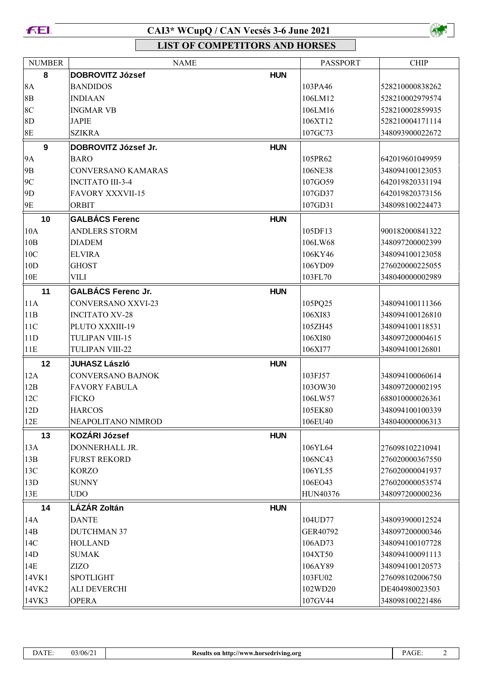



| <b>NUMBER</b>  | <b>NAME</b>               |            | <b>PASSPORT</b> | <b>CHIP</b>     |
|----------------|---------------------------|------------|-----------------|-----------------|
| 8              | <b>DOBROVITZ József</b>   | <b>HUN</b> |                 |                 |
| <b>8A</b>      | <b>BANDIDOS</b>           |            | 103PA46         | 528210000838262 |
| $8\mathrm{B}$  | <b>INDIAAN</b>            |            | 106LM12         | 528210002979574 |
| 8 <sup>C</sup> | <b>INGMAR VB</b>          |            | 106LM16         | 528210002859935 |
| 8D             | <b>JAPIE</b>              |            | 106XT12         | 528210004171114 |
| 8E             | <b>SZIKRA</b>             |            | 107GC73         | 348093900022672 |
| 9              | DOBROVITZ József Jr.      | <b>HUN</b> |                 |                 |
| <b>9A</b>      | <b>BARO</b>               |            | 105PR62         | 642019601049959 |
| 9 <sub>B</sub> | <b>CONVERSANO KAMARAS</b> |            | 106NE38         | 348094100123053 |
| 9C             | <b>INCITATO III-3-4</b>   |            | 107GO59         | 642019820331194 |
| 9D             | <b>FAVORY XXXVII-15</b>   |            | 107GD37         | 642019820373156 |
| 9E             | <b>ORBIT</b>              |            | 107GD31         | 348098100224473 |
| 10             | <b>GALBÁCS Ferenc</b>     | <b>HUN</b> |                 |                 |
| 10A            | <b>ANDLERS STORM</b>      |            | 105DF13         | 900182000841322 |
| 10B            | <b>DIADEM</b>             |            | 106LW68         | 348097200002399 |
| 10C            | <b>ELVIRA</b>             |            | 106KY46         | 348094100123058 |
| 10D            | <b>GHOST</b>              |            | 106YD09         | 276020000225055 |
| 10E            | VILI                      |            | 103FL70         | 348040000002989 |
| 11             | <b>GALBÁCS Ferenc Jr.</b> | <b>HUN</b> |                 |                 |
| 11A            | <b>CONVERSANO XXVI-23</b> |            | 105PQ25         | 348094100111366 |
| 11B            | <b>INCITATO XV-28</b>     |            | 106XI83         | 348094100126810 |
| 11C            | PLUTO XXXIII-19           |            | 105ZH45         | 348094100118531 |
| 11D            | TULIPAN VIII-15           |            | 106XI80         | 348097200004615 |
| 11E            | TULIPAN VIII-22           |            | 106XI77         | 348094100126801 |
| 12             | <b>JUHASZ László</b>      | <b>HUN</b> |                 |                 |
| 12A            | <b>CONVERSANO BAJNOK</b>  |            | 103FJ57         | 348094100060614 |
| 12B            | <b>FAVORY FABULA</b>      |            | 103OW30         | 348097200002195 |
| 12C            | <b>FICKO</b>              |            | 106LW57         | 688010000026361 |
| 12D            | <b>HARCOS</b>             |            | 105EK80         | 348094100100339 |
| 12E            | NEAPOLITANO NIMROD        |            | 106EU40         | 348040000006313 |
| 13             | <b>KOZÁRI József</b>      | <b>HUN</b> |                 |                 |
| 13A            | DONNERHALL JR.            |            | 106YL64         | 276098102210941 |
| 13B            | <b>FURST REKORD</b>       |            | 106NC43         | 276020000367550 |
| 13C            | <b>KORZO</b>              |            | 106YL55         | 276020000041937 |
| 13D            | <b>SUNNY</b>              |            | 106EO43         | 276020000053574 |
| 13E            | <b>UDO</b>                |            | HUN40376        | 348097200000236 |
| 14             | LÁZÁR Zoltán              | <b>HUN</b> |                 |                 |
| 14A            | <b>DANTE</b>              |            | 104UD77         | 348093900012524 |
| 14B            | <b>DUTCHMAN 37</b>        |            | GER40792        | 348097200000346 |
| 14C            | <b>HOLLAND</b>            |            | 106AD73         | 348094100107728 |
| 14D            | <b>SUMAK</b>              |            | 104XT50         | 348094100091113 |
| 14E            | <b>ZIZO</b>               |            | 106AY89         | 348094100120573 |
| 14VK1          | <b>SPOTLIGHT</b>          |            | 103FU02         | 276098102006750 |
| 14VK2          | <b>ALI DEVERCHI</b>       |            | 102WD20         | DE404980023503  |
| 14VK3          | <b>OPERA</b>              |            | 107GV44         | 348098100221486 |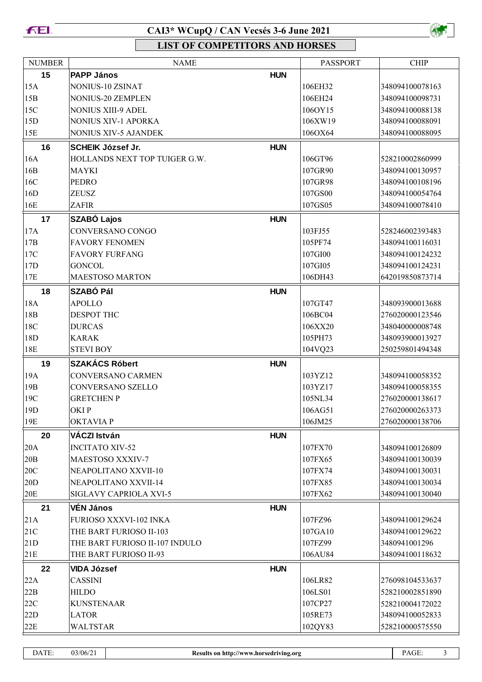



| <b>NUMBER</b>   | <b>NAME</b>                    |            | <b>PASSPORT</b> | <b>CHIP</b>     |
|-----------------|--------------------------------|------------|-----------------|-----------------|
| 15              | <b>PAPP János</b>              | <b>HUN</b> |                 |                 |
| 15A             | NONIUS-10 ZSINAT               |            | 106EH32         | 348094100078163 |
| 15B             | NONIUS-20 ZEMPLEN              |            | 106EH24         | 348094100098731 |
| 15C             | <b>NONIUS XIII-9 ADEL</b>      |            | 106OY15         | 348094100088138 |
| 15D             | <b>NONIUS XIV-1 APORKA</b>     |            | 106XW19         | 348094100088091 |
| 15E             | <b>NONIUS XIV-5 AJANDEK</b>    |            | 106OX64         | 348094100088095 |
| 16              | <b>SCHEIK József Jr.</b>       | <b>HUN</b> |                 |                 |
| 16A             | HOLLANDS NEXT TOP TUIGER G.W.  |            | 106GT96         | 528210002860999 |
| 16B             | <b>MAYKI</b>                   |            | 107GR90         | 348094100130957 |
| 16C             | <b>PEDRO</b>                   |            | 107GR98         | 348094100108196 |
| 16D             | <b>ZEUSZ</b>                   |            | 107GS00         | 348094100054764 |
| 16E             | <b>ZAFIR</b>                   |            | 107GS05         | 348094100078410 |
| 17              | <b>SZABÓ Lajos</b>             | <b>HUN</b> |                 |                 |
| 17A             | CONVERSANO CONGO               |            | 103FJ55         | 528246002393483 |
| 17B             | <b>FAVORY FENOMEN</b>          |            | 105PF74         | 348094100116031 |
| 17C             | <b>FAVORY FURFANG</b>          |            | 107GI00         | 348094100124232 |
| 17D             | <b>GONCOL</b>                  |            | 107GI05         | 348094100124231 |
| 17E             | <b>MAESTOSO MARTON</b>         |            | 106DH43         | 642019850873714 |
| 18              | <b>SZABÓ Pál</b>               | <b>HUN</b> |                 |                 |
| 18A             | <b>APOLLO</b>                  |            | 107GT47         | 348093900013688 |
| 18 <sub>B</sub> | <b>DESPOT THC</b>              |            | 106BC04         | 276020000123546 |
| 18C             | <b>DURCAS</b>                  |            | 106XX20         | 348040000008748 |
| 18D             | <b>KARAK</b>                   |            | 105PH73         | 348093900013927 |
| 18E             | <b>STEVI BOY</b>               |            | 104VQ23         | 250259801494348 |
| 19              | <b>SZAKÁCS Róbert</b>          | <b>HUN</b> |                 |                 |
| 19A             | CONVERSANO CARMEN              |            | 103YZ12         | 348094100058352 |
| 19 <sub>B</sub> | CONVERSANO SZELLO              |            | 103YZ17         | 348094100058355 |
| 19C             | <b>GRETCHENP</b>               |            | 105NL34         | 276020000138617 |
| 19 <sub>D</sub> | OKIP                           |            | 106AG51         | 276020000263373 |
| 19E             | <b>OKTAVIAP</b>                |            | 106JM25         | 276020000138706 |
| 20              | VÁCZI István                   | <b>HUN</b> |                 |                 |
| 20A             | <b>INCITATO XIV-52</b>         |            | 107FX70         | 348094100126809 |
| 20B             | MAESTOSO XXXIV-7               |            | 107FX65         | 348094100130039 |
| 20C             | NEAPOLITANO XXVII-10           |            | 107FX74         | 348094100130031 |
| 20D             | NEAPOLITANO XXVII-14           |            | 107FX85         | 348094100130034 |
| $20E$           | SIGLAVY CAPRIOLA XVI-5         |            | 107FX62         | 348094100130040 |
| 21              | <b>VÉN János</b>               | <b>HUN</b> |                 |                 |
| 21A             | FURIOSO XXXVI-102 INKA         |            | 107FZ96         | 348094100129624 |
| 21C             | THE BART FURIOSO II-103        |            | 107GA10         | 348094100129622 |
| 21D             | THE BART FURIOSO II-107 INDULO |            | 107FZ99         | 3480941001296   |
| 21E             | THE BART FURIOSO II-93         |            | 106AU84         | 348094100118632 |
| 22              | <b>VIDA József</b>             | <b>HUN</b> |                 |                 |
| 22A             | <b>CASSINI</b>                 |            | 106LR82         | 276098104533637 |
| 22B             | <b>HILDO</b>                   |            | 106LS01         | 528210002851890 |
| 22C             | <b>KUNSTENAAR</b>              |            | 107CP27         | 528210004172022 |
| 22D             | <b>LATOR</b>                   |            | 105RE73         | 348094100052833 |
| 22E             | <b>WALTSTAR</b>                |            | 102QY83         | 528210000575550 |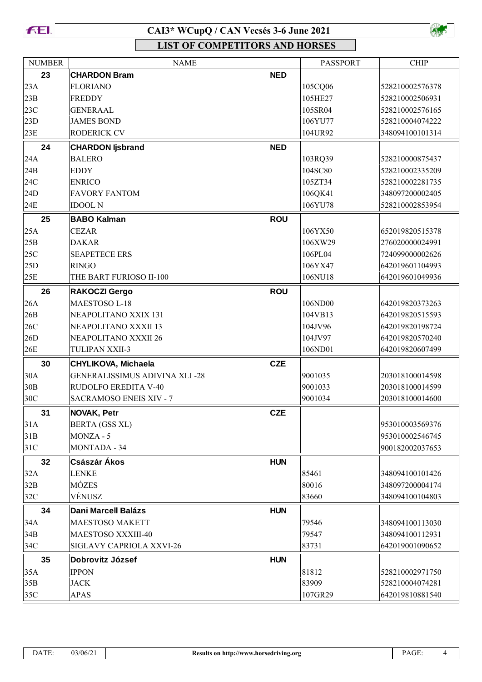



| <b>NUMBER</b> | <b>NAME</b>                          |            | <b>PASSPORT</b> | <b>CHIP</b>     |
|---------------|--------------------------------------|------------|-----------------|-----------------|
| 23            | <b>CHARDON Bram</b>                  | <b>NED</b> |                 |                 |
| 23A           | <b>FLORIANO</b>                      |            | 105CQ06         | 528210002576378 |
| 23B           | <b>FREDDY</b>                        |            | 105HE27         | 528210002506931 |
| 23C           | <b>GENERAAL</b>                      |            | 105SR04         | 528210002576165 |
| 23D           | <b>JAMES BOND</b>                    |            | 106YU77         | 528210004074222 |
| 23E           | RODERICK CV                          |            | 104UR92         | 348094100101314 |
| 24            | <b>CHARDON ljsbrand</b>              | <b>NED</b> |                 |                 |
| 24A           | <b>BALERO</b>                        |            | 103RQ39         | 528210000875437 |
| 24B           | <b>EDDY</b>                          |            | 104SC80         | 528210002335209 |
| 24C           | <b>ENRICO</b>                        |            | 105ZT34         | 528210002281735 |
| 24D           | <b>FAVORY FANTOM</b>                 |            | 106QK41         | 348097200002405 |
| 24E           | <b>IDOOL N</b>                       |            | 106YU78         | 528210002853954 |
| 25            | <b>BABO Kalman</b>                   | <b>ROU</b> |                 |                 |
| 25A           | <b>CEZAR</b>                         |            | 106YX50         | 652019820515378 |
| 25B           | <b>DAKAR</b>                         |            | 106XW29         | 276020000024991 |
| 25C           | <b>SEAPETECE ERS</b>                 |            | 106PL04         | 724099000002626 |
| 25D           | <b>RINGO</b>                         |            | 106YX47         | 642019601104993 |
| 25E           | THE BART FURIOSO II-100              |            | 106NU18         | 642019601049936 |
| 26            | <b>RAKOCZI Gergo</b>                 | <b>ROU</b> |                 |                 |
| 26A           | MAESTOSO L-18                        |            | 106ND00         | 642019820373263 |
| 26B           | NEAPOLITANO XXIX 131                 |            | 104VB13         | 642019820515593 |
| 26C           | NEAPOLITANO XXXII 13                 |            | 104JV96         | 642019820198724 |
| 26D           | NEAPOLITANO XXXII 26                 |            | 104JV97         | 642019820570240 |
| 26E           | <b>TULIPAN XXII-3</b>                |            | 106ND01         | 642019820607499 |
| 30            | <b>CHYLIKOVA, Michaela</b>           | <b>CZE</b> |                 |                 |
| 30A           | <b>GENERALISSIMUS ADIVINA XLI-28</b> |            | 9001035         | 203018100014598 |
| 30B           | RUDOLFO EREDITA V-40                 |            | 9001033         | 203018100014599 |
| 30C           | <b>SACRAMOSO ENEIS XIV - 7</b>       |            | 9001034         | 203018100014600 |
| 31            | NOVAK, Petr                          | <b>CZE</b> |                 |                 |
| 31A           | BERTA (GSS XL)                       |            |                 | 953010003569376 |
| 31B           | MONZA - 5                            |            |                 | 953010002546745 |
| 31C           | <b>MONTADA - 34</b>                  |            |                 | 900182002037653 |
| 32            | Császár Ákos                         | <b>HUN</b> |                 |                 |
| 32A           | <b>LENKE</b>                         |            | 85461           | 348094100101426 |
| 32B           | MÓZES                                |            | 80016           | 348097200004174 |
| 32C           | VÉNUSZ                               |            | 83660           | 348094100104803 |
| 34            | <b>Dani Marcell Balázs</b>           | <b>HUN</b> |                 |                 |
| 34A           | <b>MAESTOSO MAKETT</b>               |            | 79546           | 348094100113030 |
| 34B           | MAESTOSO XXXIII-40                   |            | 79547           | 348094100112931 |
| 34C           | SIGLAVY CAPRIOLA XXVI-26             |            | 83731           | 642019001090652 |
| 35            | Dobrovitz József                     | <b>HUN</b> |                 |                 |
| 35A           | <b>IPPON</b>                         |            | 81812           | 528210002971750 |
| 35B           | <b>JACK</b>                          |            | 83909           | 528210004074281 |
| 35C           | <b>APAS</b>                          |            | 107GR29         | 642019810881540 |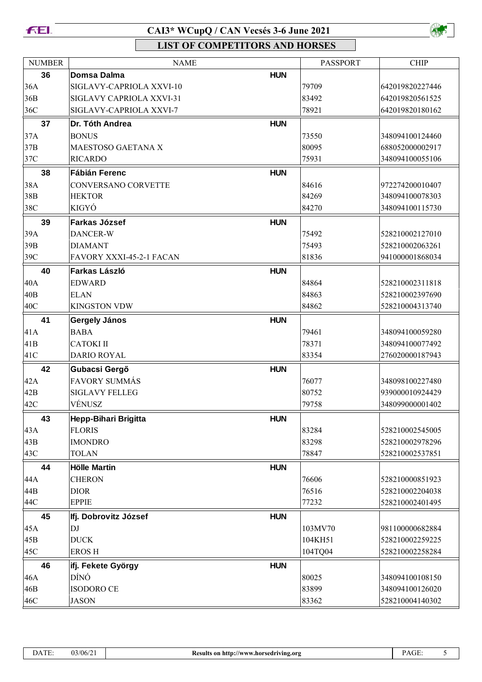#### **FEI.**

# **CAI3\* WCupQ / CAN Vecsés 3-6 June 2021**



| <b>NUMBER</b>   | <b>NAME</b>              |            | PASSPORT | <b>CHIP</b>     |
|-----------------|--------------------------|------------|----------|-----------------|
| 36              | Domsa Dalma              | <b>HUN</b> |          |                 |
| 36A             | SIGLAVY-CAPRIOLA XXVI-10 |            | 79709    | 642019820227446 |
| 36B             | SIGLAVY CAPRIOLA XXVI-31 |            | 83492    | 642019820561525 |
| 36C             | SIGLAVY-CAPRIOLA XXVI-7  |            | 78921    | 642019820180162 |
| 37              | Dr. Tóth Andrea          | <b>HUN</b> |          |                 |
| 37A             | <b>BONUS</b>             |            | 73550    | 348094100124460 |
| 37B             | MAESTOSO GAETANA X       |            | 80095    | 688052000002917 |
| 37C             | <b>RICARDO</b>           |            | 75931    | 348094100055106 |
| 38              | <b>Fábián Ferenc</b>     | <b>HUN</b> |          |                 |
| 38A             | CONVERSANO CORVETTE      |            | 84616    | 972274200010407 |
| 38B             | <b>HEKTOR</b>            |            | 84269    | 348094100078303 |
| 38C             | KIGYÓ                    |            | 84270    | 348094100115730 |
| 39              | <b>Farkas József</b>     | <b>HUN</b> |          |                 |
| 39A             | DANCER-W                 |            | 75492    | 528210002127010 |
| 39B             | <b>DIAMANT</b>           |            | 75493    | 528210002063261 |
| 39C             | FAVORY XXXI-45-2-1 FACAN |            | 81836    | 941000001868034 |
| 40              | Farkas László            | <b>HUN</b> |          |                 |
| 40A             | <b>EDWARD</b>            |            | 84864    | 528210002311818 |
| 40 <sub>B</sub> | <b>ELAN</b>              |            | 84863    | 528210002397690 |
| 40C             | <b>KINGSTON VDW</b>      |            | 84862    | 528210004313740 |
| 41              | Gergely János            | <b>HUN</b> |          |                 |
| 41A             | <b>BABA</b>              |            | 79461    | 348094100059280 |
| 41B             | <b>CATOKI II</b>         |            | 78371    | 348094100077492 |
| 41C             | <b>DARIO ROYAL</b>       |            | 83354    | 276020000187943 |
| 42              | Gubacsi Gergő            | <b>HUN</b> |          |                 |
| 42A             | <b>FAVORY SUMMÁS</b>     |            | 76077    | 348098100227480 |
| 42B             | <b>SIGLAVY FELLEG</b>    |            | 80752    | 939000010924429 |
| 42C             | VÉNUSZ                   |            | 79758    | 348099000001402 |
| 43              | Hepp-Bihari Brigitta     | <b>HUN</b> |          |                 |
| 43A             | <b>FLORIS</b>            |            | 83284    | 528210002545005 |
| 43B             | <b>IMONDRO</b>           |            | 83298    | 528210002978296 |
| 43C             | <b>TOLAN</b>             |            | 78847    | 528210002537851 |
| 44              | <b>Hölle Martin</b>      | <b>HUN</b> |          |                 |
| 44A             | <b>CHERON</b>            |            | 76606    | 528210000851923 |
| 44B             | <b>DIOR</b>              |            | 76516    | 528210002204038 |
| 44C             | <b>EPPIE</b>             |            | 77232    | 528210002401495 |
| 45              | Ifj. Dobrovitz József    | <b>HUN</b> |          |                 |
| 45A             | DJ                       |            | 103MV70  | 981100000682884 |
| 45B             | <b>DUCK</b>              |            | 104KH51  | 528210002259225 |
| 45C             | <b>EROSH</b>             |            | 104TQ04  | 528210002258284 |
| 46              | ifj. Fekete György       | <b>HUN</b> |          |                 |
| 46A             | DÍNÓ                     |            | 80025    | 348094100108150 |
| 46B             | <b>ISODORO CE</b>        |            | 83899    | 348094100126020 |
| 46C             | <b>JASON</b>             |            | 83362    | 528210004140302 |
|                 |                          |            |          |                 |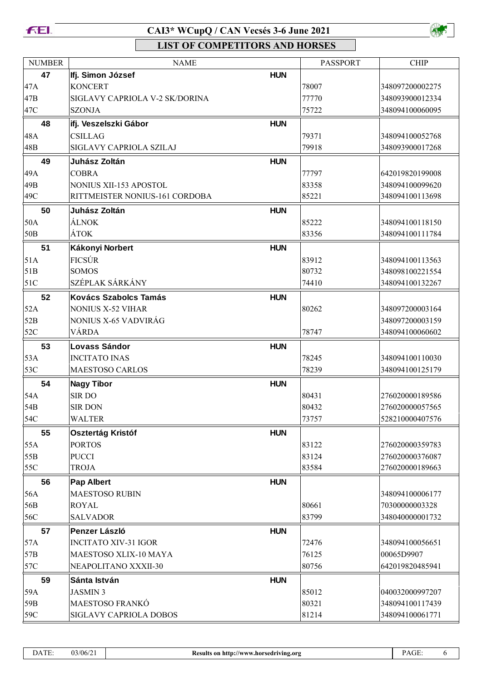



| <b>NUMBER</b>   | <b>NAME</b>                                                     |            | <b>PASSPORT</b> | <b>CHIP</b>                        |
|-----------------|-----------------------------------------------------------------|------------|-----------------|------------------------------------|
| 47              | Ifj. Simon József                                               | <b>HUN</b> |                 |                                    |
| 47A             | <b>KONCERT</b>                                                  |            | 78007           | 348097200002275                    |
| 47B             | SIGLAVY CAPRIOLA V-2 SK/DORINA                                  |            | 77770           | 348093900012334                    |
| 47C             | <b>SZONJA</b>                                                   |            | 75722           | 348094100060095                    |
| 48              | ifj. Veszelszki Gábor                                           | <b>HUN</b> |                 |                                    |
| 48A             | <b>CSILLAG</b>                                                  |            | 79371           | 348094100052768                    |
| 48B             | SIGLAVY CAPRIOLA SZILAJ                                         |            | 79918           | 348093900017268                    |
|                 |                                                                 |            |                 |                                    |
| 49<br>49A       | Juhász Zoltán<br><b>COBRA</b>                                   | <b>HUN</b> | 77797           | 642019820199008                    |
| 49B             |                                                                 |            | 83358           |                                    |
| 49C             | <b>NONIUS XII-153 APOSTOL</b><br>RITTMEISTER NONIUS-161 CORDOBA |            | 85221           | 348094100099620<br>348094100113698 |
|                 |                                                                 |            |                 |                                    |
| 50              | Juhász Zoltán                                                   | <b>HUN</b> |                 |                                    |
| 50A             | <b>ÁLNOK</b>                                                    |            | 85222           | 348094100118150                    |
| 50 <sub>B</sub> | ÁTOK                                                            |            | 83356           | 348094100111784                    |
| 51              | Kákonyi Norbert                                                 | <b>HUN</b> |                 |                                    |
| 51A             | <b>FICSÚR</b>                                                   |            | 83912           | 348094100113563                    |
| 51B             | <b>SOMOS</b>                                                    |            | 80732           | 348098100221554                    |
| 51C             | SZÉPLAK SÁRKÁNY                                                 |            | 74410           | 348094100132267                    |
| 52              | <b>Kovács Szabolcs Tamás</b>                                    | <b>HUN</b> |                 |                                    |
| 52A             | <b>NONIUS X-52 VIHAR</b>                                        |            | 80262           | 348097200003164                    |
| 52B             | NONIUS X-65 VADVIRÁG                                            |            |                 | 348097200003159                    |
| 52C             | VÁRDA                                                           |            | 78747           | 348094100060602                    |
| 53              | <b>Lovass Sándor</b>                                            | <b>HUN</b> |                 |                                    |
| 53A             | <b>INCITATO INAS</b>                                            |            | 78245           | 348094100110030                    |
| 53C             | <b>MAESTOSO CARLOS</b>                                          |            | 78239           | 348094100125179                    |
| 54              | <b>Nagy Tibor</b>                                               | <b>HUN</b> |                 |                                    |
| 54A             | <b>SIRDO</b>                                                    |            | 80431           | 276020000189586                    |
| 54B             | <b>SIR DON</b>                                                  |            | 80432           | 276020000057565                    |
| 54C             | WALTER                                                          |            | 73757           | 528210000407576                    |
| 55              | <b>Osztertág Kristóf</b>                                        | <b>HUN</b> |                 |                                    |
| 55A             | <b>PORTOS</b>                                                   |            | 83122           | 276020000359783                    |
| 55B             | <b>PUCCI</b>                                                    |            | 83124           | 276020000376087                    |
| 55C             | <b>TROJA</b>                                                    |            | 83584           | 276020000189663                    |
| 56              | <b>Pap Albert</b>                                               | <b>HUN</b> |                 |                                    |
| 56A             | <b>MAESTOSO RUBIN</b>                                           |            |                 | 348094100006177                    |
| 56B             | <b>ROYAL</b>                                                    |            | 80661           | 70300000003328                     |
| 56C             | <b>SALVADOR</b>                                                 |            | 83799           | 348040000001732                    |
| 57              | Penzer László                                                   | <b>HUN</b> |                 |                                    |
| 57A             | <b>INCITATO XIV-31 IGOR</b>                                     |            | 72476           | 348094100056651                    |
| 57B             | MAESTOSO XLIX-10 MAYA                                           |            | 76125           | 00065D9907                         |
| 57C             | NEAPOLITANO XXXII-30                                            |            | 80756           | 642019820485941                    |
| 59              | Sánta István                                                    | <b>HUN</b> |                 |                                    |
| 59A             | <b>JASMIN 3</b>                                                 |            | 85012           | 040032000997207                    |
| 59B             | MAESTOSO FRANKÓ                                                 |            | 80321           | 348094100117439                    |
| 59C             | <b>SIGLAVY CAPRIOLA DOBOS</b>                                   |            | 81214           | 348094100061771                    |
|                 |                                                                 |            |                 |                                    |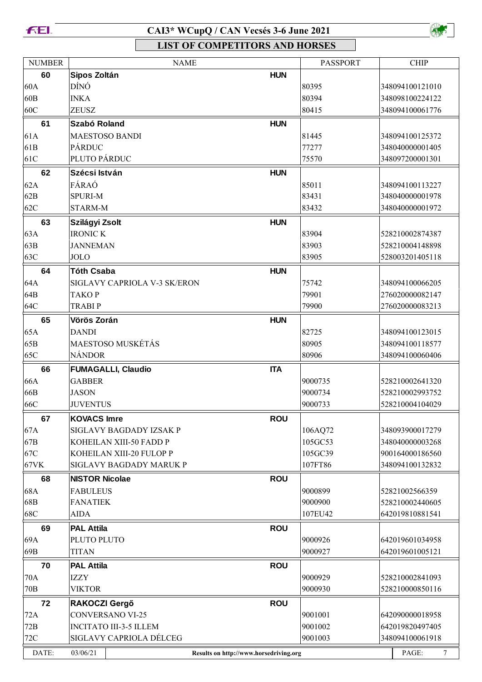**FEL** 

#### **CAI3\* WCupQ / CAN Vecsés 3-6 June 2021**



| <b>NUMBER</b>   | <b>NAME</b>                   |                                        | <b>PASSPORT</b> | <b>CHIP</b>               |
|-----------------|-------------------------------|----------------------------------------|-----------------|---------------------------|
| 60              | Sipos Zoltán                  | <b>HUN</b>                             |                 |                           |
| 60A             | DÍNÓ                          |                                        | 80395           | 348094100121010           |
| 60 <sub>B</sub> | <b>INKA</b>                   |                                        | 80394           | 348098100224122           |
| 60C             | <b>ZEUSZ</b>                  |                                        | 80415           | 348094100061776           |
| 61              | Szabó Roland                  | <b>HUN</b>                             |                 |                           |
| 61A             | <b>MAESTOSO BANDI</b>         |                                        | 81445           | 348094100125372           |
| 61 <sub>B</sub> | PÁRDUC                        |                                        | 77277           | 348040000001405           |
| 61C             | PLUTO PÁRDUC                  |                                        | 75570           | 348097200001301           |
| 62              | Szécsi István                 | <b>HUN</b>                             |                 |                           |
| 62A             | FÁRAÓ                         |                                        | 85011           | 348094100113227           |
| 62B             | <b>SPURI-M</b>                |                                        | 83431           | 348040000001978           |
| 62C             | STARM-M                       |                                        | 83432           | 348040000001972           |
| 63              | Szilágyi Zsolt                | <b>HUN</b>                             |                 |                           |
| 63A             | <b>IRONIC K</b>               |                                        | 83904           | 528210002874387           |
| 63B             | <b>JANNEMAN</b>               |                                        | 83903           | 528210004148898           |
| 63C             | JOLO                          |                                        | 83905           | 528003201405118           |
|                 |                               |                                        |                 |                           |
| 64              | <b>Tóth Csaba</b>             | <b>HUN</b>                             |                 |                           |
| 64A             | SIGLAVY CAPRIOLA V-3 SK/ERON  |                                        | 75742           | 348094100066205           |
| 64B             | <b>TAKOP</b>                  |                                        | 79901           | 276020000082147           |
| 64C             | <b>TRABIP</b>                 |                                        | 79900           | 276020000083213           |
| 65              | Vörös Zorán                   | <b>HUN</b>                             |                 |                           |
| 65A             | <b>DANDI</b>                  |                                        | 82725           | 348094100123015           |
| 65B             | <b>MAESTOSO MUSKÉTÁS</b>      |                                        | 80905           | 348094100118577           |
| 65C             | <b>NÁNDOR</b>                 |                                        | 80906           | 348094100060406           |
| 66              | <b>FUMAGALLI, Claudio</b>     | <b>ITA</b>                             |                 |                           |
| 66A             | <b>GABBER</b>                 |                                        | 9000735         | 528210002641320           |
| 66B             | <b>JASON</b>                  |                                        | 9000734         | 528210002993752           |
| 66C             | <b>JUVENTUS</b>               |                                        | 9000733         | 528210004104029           |
| 67              | <b>KOVACS Imre</b>            | <b>ROU</b>                             |                 |                           |
| 67A             | SIGLAVY BAGDADY IZSAK P       |                                        | 106AQ72         | 348093900017279           |
| 67B             | KOHEILAN XIII-50 FADD P       |                                        | 105GC53         | 348040000003268           |
| 67C             | KOHEILAN XIII-20 FULOP P      |                                        | 105GC39         | 900164000186560           |
| 67VK            | SIGLAVY BAGDADY MARUK P       |                                        | 107FT86         | 348094100132832           |
| 68              | <b>NISTOR Nicolae</b>         | <b>ROU</b>                             |                 |                           |
| 68A             | <b>FABULEUS</b>               |                                        | 9000899         | 52821002566359            |
| 68B             | <b>FANATIEK</b>               |                                        | 9000900         | 528210002440605           |
| 68C             | <b>AIDA</b>                   |                                        | 107EU42         | 642019810881541           |
| 69              | <b>PAL Attila</b>             | <b>ROU</b>                             |                 |                           |
| 69A             | PLUTO PLUTO                   |                                        | 9000926         | 642019601034958           |
| 69B             | <b>TITAN</b>                  |                                        | 9000927         | 642019601005121           |
| 70              | <b>PAL Attila</b>             | <b>ROU</b>                             |                 |                           |
| 70A             | <b>IZZY</b>                   |                                        | 9000929         | 528210002841093           |
| 70 <sub>B</sub> | <b>VIKTOR</b>                 |                                        | 9000930         | 528210000850116           |
| 72              | RAKOCZI Gergő                 | <b>ROU</b>                             |                 |                           |
| 72A             | <b>CONVERSANO VI-25</b>       |                                        | 9001001         | 642090000018958           |
| 72B             | <b>INCITATO III-3-5 ILLEM</b> |                                        | 9001002         | 642019820497405           |
| $72C$           | SIGLAVY CAPRIOLA DÉLCEG       |                                        | 9001003         | 348094100061918           |
| DATE:           | 03/06/21                      | Results on http://www.horsedriving.org |                 | $\boldsymbol{7}$<br>PAGE: |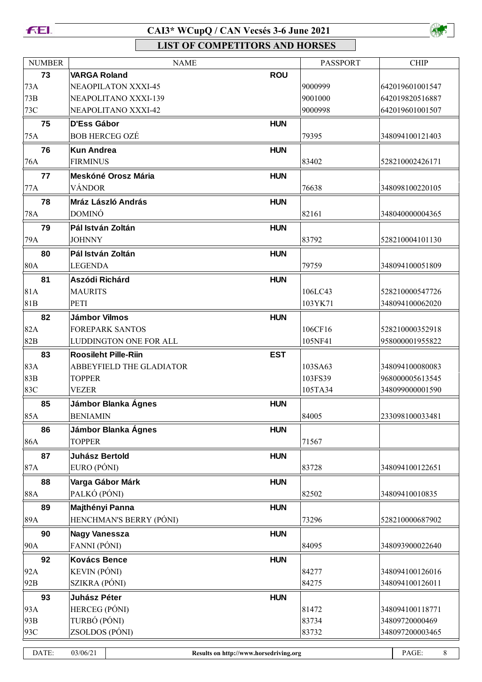#### **FEL**

# **CAI3\* WCupQ / CAN Vecsés 3-6 June 2021**



| <b>NUMBER</b>                                                                   | <b>NAME</b>                 |            | <b>PASSPORT</b> | <b>CHIP</b>     |
|---------------------------------------------------------------------------------|-----------------------------|------------|-----------------|-----------------|
| 73                                                                              | <b>VARGA Roland</b>         | <b>ROU</b> |                 |                 |
| 73A                                                                             | <b>NEAOPILATON XXXI-45</b>  |            | 9000999         | 642019601001547 |
| 73B                                                                             | NEAPOLITANO XXXI-139        |            | 9001000         | 642019820516887 |
| 73C                                                                             | NEAPOLITANO XXXI-42         |            | 9000998         | 642019601001507 |
| 75                                                                              | <b>D'Ess Gábor</b>          | <b>HUN</b> |                 |                 |
| 75A                                                                             | <b>BOB HERCEG OZÉ</b>       |            | 79395           | 348094100121403 |
| 76                                                                              | <b>Kun Andrea</b>           | <b>HUN</b> |                 |                 |
| 76A                                                                             | <b>FIRMINUS</b>             |            | 83402           | 528210002426171 |
| 77                                                                              | Meskóné Orosz Mária         | <b>HUN</b> |                 |                 |
| 77A                                                                             | VÁNDOR                      |            | 76638           | 348098100220105 |
| 78                                                                              | Mráz László András          | <b>HUN</b> |                 |                 |
| 78A                                                                             | <b>DOMINÓ</b>               |            | 82161           | 348040000004365 |
| 79                                                                              | Pál István Zoltán           | <b>HUN</b> |                 |                 |
|                                                                                 |                             |            |                 |                 |
| 79A                                                                             | <b>JOHNNY</b>               |            | 83792           | 528210004101130 |
| 80                                                                              | Pál István Zoltán           | <b>HUN</b> |                 |                 |
| <b>80A</b>                                                                      | <b>LEGENDA</b>              |            | 79759           | 348094100051809 |
| 81                                                                              | Aszódi Richárd              | <b>HUN</b> |                 |                 |
| 81A                                                                             | <b>MAURITS</b>              |            | 106LC43         | 528210000547726 |
| 81B                                                                             | PETI                        |            | 103YK71         | 348094100062020 |
| 82                                                                              | <b>Jámbor Vilmos</b>        | <b>HUN</b> |                 |                 |
| 82A                                                                             | <b>FOREPARK SANTOS</b>      |            | 106CF16         | 528210000352918 |
| 82B                                                                             | LUDDINGTON ONE FOR ALL      |            | 105NF41         | 958000001955822 |
| 83                                                                              | <b>Roosileht Pille-Riin</b> | <b>EST</b> |                 |                 |
| 83A                                                                             | ABBEYFIELD THE GLADIATOR    |            | 103SA63         | 348094100080083 |
| 83B                                                                             | <b>TOPPER</b>               |            | 103FS39         | 968000005613545 |
| 83C                                                                             | <b>VEZER</b>                |            | 105TA34         | 348099000001590 |
| 85                                                                              | Jámbor Blanka Ágnes         | <b>HUN</b> |                 |                 |
| 85A                                                                             | <b>BENIAMIN</b>             |            | 84005           | 233098100033481 |
| 86                                                                              | Jámbor Blanka Ágnes         | <b>HUN</b> |                 |                 |
| 86A                                                                             | <b>TOPPER</b>               |            | 71567           |                 |
| 87                                                                              | <b>Juhász Bertold</b>       | <b>HUN</b> |                 |                 |
| 87A                                                                             | EURO (PÓNI)                 |            | 83728           | 348094100122651 |
| 88                                                                              | Varga Gábor Márk            | <b>HUN</b> |                 |                 |
| <b>88A</b>                                                                      | PALKÓ (PÓNI)                |            | 82502           | 34809410010835  |
| 89                                                                              | Majthényi Panna             | <b>HUN</b> |                 |                 |
| 89A                                                                             | HENCHMAN'S BERRY (PÓNI)     |            | 73296           | 528210000687902 |
| 90                                                                              | Nagy Vanessza               | <b>HUN</b> |                 |                 |
| 90A                                                                             | FANNI (PÓNI)                |            | 84095           | 348093900022640 |
| 92                                                                              | <b>Kovács Bence</b>         | <b>HUN</b> |                 |                 |
| 92A                                                                             | <b>KEVIN (PÓNI)</b>         |            | 84277           | 348094100126016 |
| 92B                                                                             | SZIKRA (PÓNI)               |            | 84275           | 348094100126011 |
| 93                                                                              | <b>Juhász Péter</b>         | <b>HUN</b> |                 |                 |
| 93A                                                                             | HERCEG (PÓNI)               |            | 81472           | 348094100118771 |
| 93B                                                                             | TURBÓ (PÓNI)                |            | 83734           | 34809720000469  |
| 93C                                                                             | ZSOLDOS (PÓNI)              |            | 83732           | 348097200003465 |
|                                                                                 |                             |            |                 |                 |
| DATE:<br>03/06/21<br>PAGE:<br>$\,8\,$<br>Results on http://www.horsedriving.org |                             |            |                 |                 |